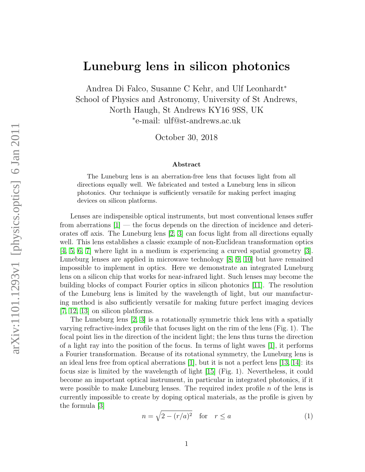## Luneburg lens in silicon photonics

Andrea Di Falco, Susanne C Kehr, and Ulf Leonhardt<sup>∗</sup> School of Physics and Astronomy, University of St Andrews, North Haugh, St Andrews KY16 9SS, UK ∗ e-mail: ulf@st-andrews.ac.uk

October 30, 2018

## Abstract

The Luneburg lens is an aberration-free lens that focuses light from all directions equally well. We fabricated and tested a Luneburg lens in silicon photonics. Our technique is sufficiently versatile for making perfect imaging devices on silicon platforms.

Lenses are indispensible optical instruments, but most conventional lenses suffer from aberrations  $[1]$  — the focus depends on the direction of incidence and deteriorates off axis. The Luneburg lens [\[2,](#page-3-1) [3\]](#page-3-2) can focus light from all directions equally well. This lens establishes a classic example of non-Euclidean transformation optics [\[4,](#page-3-3) [5,](#page-3-4) [6,](#page-3-5) [7\]](#page-3-6) where light in a medium is experiencing a curved spatial geometry [\[3\]](#page-3-2). Luneburg lenses are applied in microwave technology [\[8,](#page-3-7) [9,](#page-3-8) [10\]](#page-3-9) but have remained impossible to implement in optics. Here we demonstrate an integrated Luneburg lens on a silicon chip that works for near-infrared light. Such lenses may become the building blocks of compact Fourier optics in silicon photonics [\[11\]](#page-4-0). The resolution of the Luneburg lens is limited by the wavelength of light, but our manufacturing method is also sufficiently versatile for making future perfect imaging devices [\[7,](#page-3-6) [12,](#page-4-1) [13\]](#page-4-2) on silicon platforms.

The Luneburg lens [\[2,](#page-3-1) [3\]](#page-3-2) is a rotationally symmetric thick lens with a spatially varying refractive-index profile that focuses light on the rim of the lens (Fig. 1). The focal point lies in the direction of the incident light; the lens thus turns the direction of a light ray into the position of the focus. In terms of light waves [\[1\]](#page-3-0), it performs a Fourier transformation. Because of its rotational symmetry, the Luneburg lens is an ideal lens free from optical aberrations [\[1\]](#page-3-0), but it is not a perfect lens [\[13,](#page-4-2) [14\]](#page-4-3): its focus size is limited by the wavelength of light [\[15\]](#page-4-4) (Fig. 1). Nevertheless, it could become an important optical instrument, in particular in integrated photonics, if it were possible to make Luneburg lenses. The required index profile  $n$  of the lens is currently impossible to create by doping optical materials, as the profile is given by the formula [\[3\]](#page-3-2)

<span id="page-0-0"></span>
$$
n = \sqrt{2 - (r/a)^2} \quad \text{for} \quad r \le a \tag{1}
$$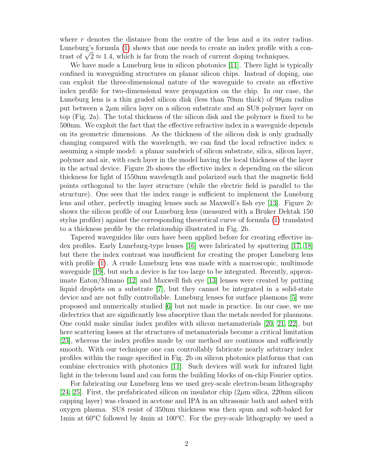where  $r$  denotes the distance from the centre of the lens and  $a$  its outer radius. Luneburg's formula [\(1\)](#page-0-0) shows that one needs to create an index profile with a con-Luneburg's formula (1) shows that one needs to create an index profile with trast of  $\sqrt{2} \approx 1.4$ , which is far from the reach of current doping techniques.

We have made a Luneburg lens in silicon photonics [\[11\]](#page-4-0). There light is typically confined in waveguiding structures on planar silicon chips. Instead of doping, one can exploit the three-dimensional nature of the waveguide to create an effective index profile for two-dimensional wave propagation on the chip. In our case, the Luneburg lens is a thin graded silicon disk (less than 70nm thick) of  $98 \mu m$  radius put between a  $2\mu$ m silica layer on a silicon substrate and an SU8 polymer layer on top (Fig. 2a). The total thickness of the silicon disk and the polymer is fixed to be 500nm. We exploit the fact that the effective refractive index in a waveguide depends on its geometric dimensions. As the thickness of the silicon disk is only gradually changing compared with the wavelength, we can find the local refractive index  $n$ assuming a simple model: a planar sandwich of silicon substrate, silica, silicon layer, polymer and air, with each layer in the model having the local thickness of the layer in the actual device. Figure 2b shows the effective index  $n$  depending on the silicon thickness for light of 1550nm wavelength and polarized such that the magnetic field points orthogonal to the layer structure (while the electric field is parallel to the structure). One sees that the index range is sufficient to implement the Luneburg lens and other, perfectly imaging lenses such as Maxwell's fish eye [\[13\]](#page-4-2). Figure 2c shows the silicon profile of our Luneburg lens (measured with a Bruker Dektak 150 stylus profiler) against the corresponding theoretical curve of formula [\(1\)](#page-0-0) translated to a thickness profile by the relationship illustrated in Fig. 2b.

Tapered waveguides like ours have been applied before for creating effective index profiles. Early Luneburg-type lenses [\[16\]](#page-4-5) were fabricated by sputtering [\[17,](#page-4-6) [18\]](#page-4-7) but there the index contrast was insufficient for creating the proper Luneburg lens with profile [\(1\)](#page-0-0). A crude Luneburg lens was made with a macroscopic, multimode waveguide [\[19\]](#page-4-8), but such a device is far too large to be integrated. Recently, approximate Eaton/Minano [\[12\]](#page-4-1) and Maxwell fish eye [\[13\]](#page-4-2) lenses were created by putting liquid droplets on a substrate [\[7\]](#page-3-6), but they cannot be integrated in a solid-state device and are not fully controllable. Luneburg lenses for surface plasmons [\[5\]](#page-3-4) were proposed and numerically studied [\[6\]](#page-3-5) but not made in practice. In our case, we use dielectrics that are significantly less absorptive than the metals needed for plasmons. One could make similar index profiles with silicon metamaterials [\[20,](#page-4-9) [21,](#page-4-10) [22\]](#page-4-11), but here scattering losses at the structures of metamaterials become a critical limitation [\[23\]](#page-4-12), whereas the index profiles made by our method are continuos and sufficiently smooth. With our technique one can controllably fabricate nearly arbitrary index profiles within the range specified in Fig. 2b on silicon photonics platforms that can combine electronics with photonics [\[11\]](#page-4-0). Such devices will work for infrared light light in the telecom band and can form the building blocks of on-chip Fourier optics.

For fabricating our Luneburg lens we used grey-scale electron-beam lithography [\[24,](#page-4-13) [25\]](#page-4-14). First, the prefabricated silicon on insulator chip  $(2\mu m)$  silica, 220nm silicon capping layer) was cleaned in acetone and IPA in an ultrasonic bath and ashed with oxygen plasma. SU8 resist of 350nm thickness was then spun and soft-baked for 1min at  $60^{\circ}$ C followed by 4min at  $100^{\circ}$ C. For the grey-scale lithography we used a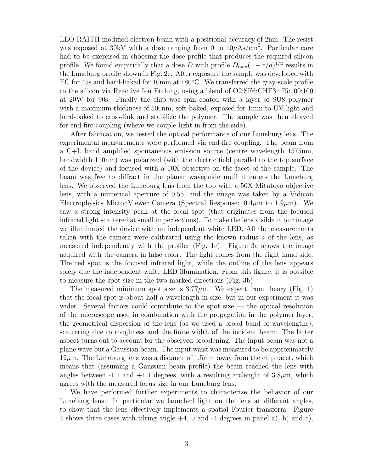LEO-RAITH modified electron beam with a positional accuracy of 2nm. The resist was exposed at 30kV with a dose ranging from 0 to  $10\mu\text{As/cm}^2$ . Particular care had to be exercised in choosing the dose profile that produces the required silicon profile. We found empirically that a dose D with profile  $D_{\text{max}}(1 - r/a)^{1/2}$  results in the Luneburg profile shown in Fig. 2c. After exposure the sample was developed with EC for 45s and hard-baked for 10min at  $180^{\circ}$ C. We transferred the gray-scale profile to the silicon via Reactive Ion Etching, using a blend of O2:SF6:CHF3=75:100:100 at 20W for 90s. Finally the chip was spin coated with a layer of SU8 polymer with a maximum thickness of 500nm, soft-baked, exposed for 1min to UV light and hard-baked to cross-link and stabilize the polymer. The sample was then cleaved for end-fire coupling (where we couple light in from the side).

After fabrication, we tested the optical performance of our Luneburg lens. The experimental measurements were performed via end-fire coupling. The beam from a C+L band amplified spontaneous emission source (centre wavelength 1575nm, bandwidth 110nm) was polarized (with the electric field parallel to the top surface of the device) and focused with a 10X objective on the facet of the sample. The beam was free to diffract in the planar waveguide until it enters the Luneburg lens. We observed the Luneburg lens from the top with a 50X Mitutoyo objective lens, with a numerical aperture of 0.55, and the image was taken by a Vidicon Electrophysics MicronViewer Camera (Spectral Response:  $0.4\mu$ m to  $1.9\mu$ m). We saw a strong intensity peak at the focal spot (that originates from the focused infrared light scattered at small imperfections). To make the lens visible in our image we illuminated the device with an independent white LED. All the measurements taken with the camera were calibrated using the known radius a of the lens, as measured independently with the profiler (Fig. 1c). Figure 3a shows the image acquired with the camera in false color. The light comes from the right hand side. The red spot is the focused infrared light, while the outline of the lens appears solely due the independent white LED illumination. From this figure, it is possible to measure the spot size in the two marked directions (Fig. 3b).

The measured minimum spot size is  $3.77 \mu m$ . We expect from theory (Fig. 1) that the focal spot is about half a wavelength in size, but in our experiment it was wider. Several factors could contribute to the spot size — the optical resolution of the microscope used in combination with the propagation in the polymer layer, the geometrical dispersion of the lens (as we used a broad band of wavelengths), scattering due to roughness and the finite width of the incident beam. The latter aspect turns out to account for the observed broadening. The input beam was not a plane wave but a Gaussian beam. The input waist was measured to be approximately  $12\mu$ m. The Luneburg lens was a distance of 1.5mm away from the chip facet, which means that (assuming a Gaussian beam profile) the beam reached the lens with angles between -1.1 and  $+1.1$  degrees, with a resulting arclenght of  $3.8\mu$ m, which agrees with the measured focus size in our Luneburg lens.

We have performed further experiments to characterize the behavior of our Luneburg lens. In particular we launched light on the lens at different angles, to show that the lens effectively implements a spatial Fourier transform. Figure 4 shows three cases with tilting angle +4, 0 and -4 degrees in panel a), b) and c),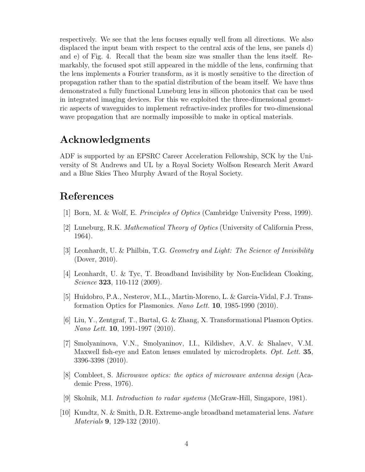respectively. We see that the lens focuses equally well from all directions. We also displaced the input beam with respect to the central axis of the lens, see panels d) and e) of Fig. 4. Recall that the beam size was smaller than the lens itself. Remarkably, the focused spot still appeared in the middle of the lens, confirming that the lens implements a Fourier transform, as it is mostly sensitive to the direction of propagation rather than to the spatial distribution of the beam itself. We have thus demonstrated a fully functional Luneburg lens in silicon photonics that can be used in integrated imaging devices. For this we exploited the three-dimensional geometric aspects of waveguides to implement refractive-index profiles for two-dimensional wave propagation that are normally impossible to make in optical materials.

## Acknowledgments

ADF is supported by an EPSRC Career Acceleration Fellowship, SCK by the University of St Andrews and UL by a Royal Society Wolfson Research Merit Award and a Blue Skies Theo Murphy Award of the Royal Society.

## References

- <span id="page-3-0"></span>[1] Born, M. & Wolf, E. Principles of Optics (Cambridge University Press, 1999).
- <span id="page-3-1"></span>[2] Luneburg, R.K. Mathematical Theory of Optics (University of California Press, 1964).
- <span id="page-3-2"></span>[3] Leonhardt, U. & Philbin, T.G. Geometry and Light: The Science of Invisibility (Dover, 2010).
- <span id="page-3-3"></span>[4] Leonhardt, U. & Tyc, T. Broadband Invisibility by Non-Euclidean Cloaking, Science **323**, 110-112 (2009).
- <span id="page-3-4"></span>[5] Huidobro, P.A., Nesterov, M.L., Martin-Moreno, L. & Garcia-Vidal, F.J. Transformation Optics for Plasmonics. Nano Lett. 10, 1985-1990 (2010).
- <span id="page-3-5"></span>[6] Liu, Y., Zentgraf, T., Bartal, G. & Zhang, X. Transformational Plasmon Optics. Nano Lett. 10, 1991-1997 (2010).
- <span id="page-3-6"></span>[7] Smolyaninova, V.N., Smolyaninov, I.I., Kildishev, A.V. & Shalaev, V.M. Maxwell fish-eye and Eaton lenses emulated by microdroplets. Opt. Lett. 35, 3396-3398 (2010).
- <span id="page-3-7"></span>[8] Combleet, S. Microwave optics: the optics of microwave antenna design (Academic Press, 1976).
- <span id="page-3-8"></span>[9] Skolnik, M.I. Introduction to radar systems (McGraw-Hill, Singapore, 1981).
- <span id="page-3-9"></span>[10] Kundtz, N. & Smith, D.R. Extreme-angle broadband metamaterial lens. Nature Materials 9, 129-132 (2010).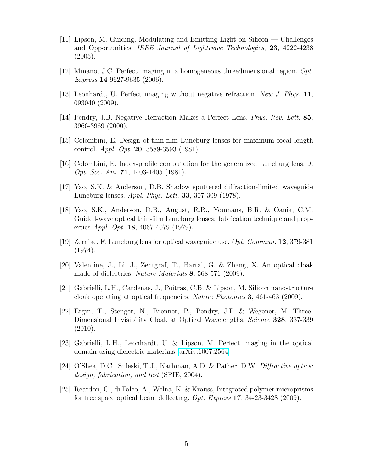- <span id="page-4-0"></span>[11] Lipson, M. Guiding, Modulating and Emitting Light on Silicon — Challenges and Opportunities, IEEE Journal of Lightwave Technologies, 23, 4222-4238  $(2005).$
- <span id="page-4-1"></span>[12] Minano, J.C. Perfect imaging in a homogeneous threedimensional region. Opt. Express 14 9627-9635 (2006).
- <span id="page-4-2"></span>[13] Leonhardt, U. Perfect imaging without negative refraction. New J. Phys. 11, 093040 (2009).
- <span id="page-4-3"></span>[14] Pendry, J.B. Negative Refraction Makes a Perfect Lens. Phys. Rev. Lett. 85, 3966-3969 (2000).
- <span id="page-4-4"></span>[15] Colombini, E. Design of thin-film Luneburg lenses for maximum focal length control. Appl. Opt. 20, 3589-3593 (1981).
- <span id="page-4-5"></span>[16] Colombini, E. Index-profile computation for the generalized Luneburg lens. J. Opt. Soc. Am. **71**, 1403-1405 (1981).
- <span id="page-4-6"></span>[17] Yao, S.K. & Anderson, D.B. Shadow sputtered diffraction-limited waveguide Luneburg lenses. Appl. Phys. Lett. 33, 307-309 (1978).
- <span id="page-4-7"></span>[18] Yao, S.K., Anderson, D.B., August, R.R., Youmans, B.R. & Oania, C.M. Guided-wave optical thin-film Luneburg lenses: fabrication technique and properties Appl. Opt. 18, 4067-4079 (1979).
- <span id="page-4-8"></span>[19] Zernike, F. Luneburg lens for optical waveguide use. Opt. Commun. 12, 379-381 (1974).
- <span id="page-4-9"></span>[20] Valentine, J., Li, J., Zentgraf, T., Bartal, G. & Zhang, X. An optical cloak made of dielectrics. *Nature Materials* 8, 568-571 (2009).
- <span id="page-4-10"></span>[21] Gabrielli, L.H., Cardenas, J., Poitras, C.B. & Lipson, M. Silicon nanostructure cloak operating at optical frequencies. Nature Photonics 3, 461-463 (2009).
- <span id="page-4-11"></span>[22] Ergin, T., Stenger, N., Brenner, P., Pendry, J.P. & Wegener, M. Three-Dimensional Invisibility Cloak at Optical Wavelengths. *Science* **328**, 337-339 (2010).
- <span id="page-4-12"></span>[23] Gabrielli, L.H., Leonhardt, U. & Lipson, M. Perfect imaging in the optical domain using dielectric materials. [arXiv:1007.2564.](http://arxiv.org/abs/1007.2564)
- <span id="page-4-13"></span>[24] O'Shea, D.C., Suleski, T.J., Kathman, A.D. & Pather, D.W. Diffractive optics: design, fabrication, and test (SPIE, 2004).
- <span id="page-4-14"></span>[25] Reardon, C., di Falco, A., Welna, K. & Krauss, Integrated polymer microprisms for free space optical beam deflecting. *Opt. Express* 17, 34-23-3428 (2009).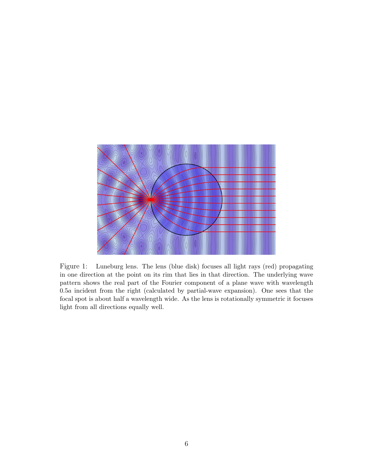

Figure 1: Luneburg lens. The lens (blue disk) focuses all light rays (red) propagating in one direction at the point on its rim that lies in that direction. The underlying wave pattern shows the real part of the Fourier component of a plane wave with wavelength 0.5a incident from the right (calculated by partial-wave expansion). One sees that the focal spot is about half a wavelength wide. As the lens is rotationally symmetric it focuses light from all directions equally well.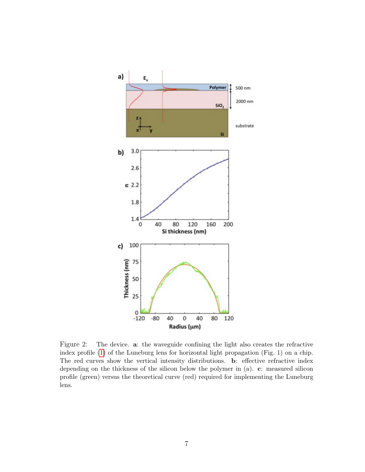

Figure 2: The device. a: the waveguide confining the light also creates the refractive index profile [\(1\)](#page-0-0) of the Luneburg lens for horizontal light propagation (Fig. 1) on a chip. The red curves show the vertical intensity distributions. b: effective refractive index depending on the thickness of the silicon below the polymer in (a). c: measured silicon profile (green) versus the theoretical curve (red) required for implementing the Luneburg lens.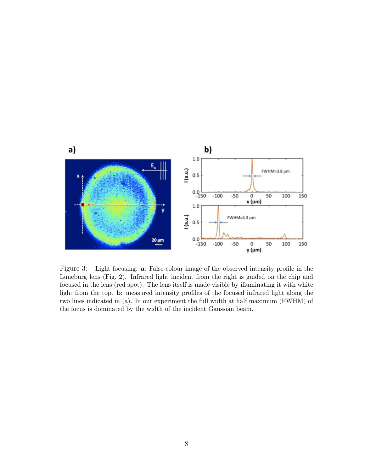

Figure 3: Light focusing. a: False-colour image of the observed intensity profile in the Luneburg lens (Fig. 2). Infrared light incident from the right is guided on the chip and focused in the lens (red spot). The lens itself is made visible by illuminating it with white light from the top. b: measured intensity profiles of the focused infrared light along the two lines indicated in (a). In our experiment the full width at half maximum (FWHM) of the focus is dominated by the width of the incident Gaussian beam.